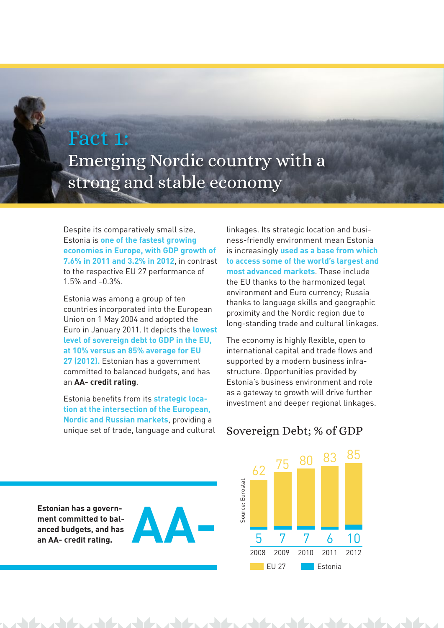## Fact 1:

Emerging Nordic country with a strong and stable economy

Despite its comparatively small size, Estonia is **one of the fastest growing economies in Europe, with GDP growth of 7.6% in 2011 and 3.2% in 2012**, in contrast to the respective EU 27 performance of 1.5% and –0.3%.

Estonia was among a group of ten countries incorporated into the European Union on 1 May 2004 and adopted the Euro in January 2011. It depicts the **lowest level of sovereign debt to GDP in the EU, at 10% versus an 85% average for EU 27 (2012).** Estonian has a government committed to balanced budgets, and has an **AA- credit rating**.

Estonia benefits from its **strategic location at the intersection of the European, Nordic and Russian markets**, providing a unique set of trade, language and cultural linkages. Its strategic location and business-friendly environment mean Estonia is increasingly **used as a base from which to access some of the world's largest and most advanced markets**. These include the EU thanks to the harmonized legal environment and Euro currency; Russia thanks to language skills and geographic proximity and the Nordic region due to long-standing trade and cultural linkages.

The economy is highly flexible, open to international capital and trade flows and supported by a modern business infrastructure. Opportunities provided by Estonia's business environment and role as a gateway to growth will drive further investment and deeper regional linkages.

## Sovereign Debt; % of GDP



**Estonian has a government committed to balanced budgets, and has an AA- credit rating.**